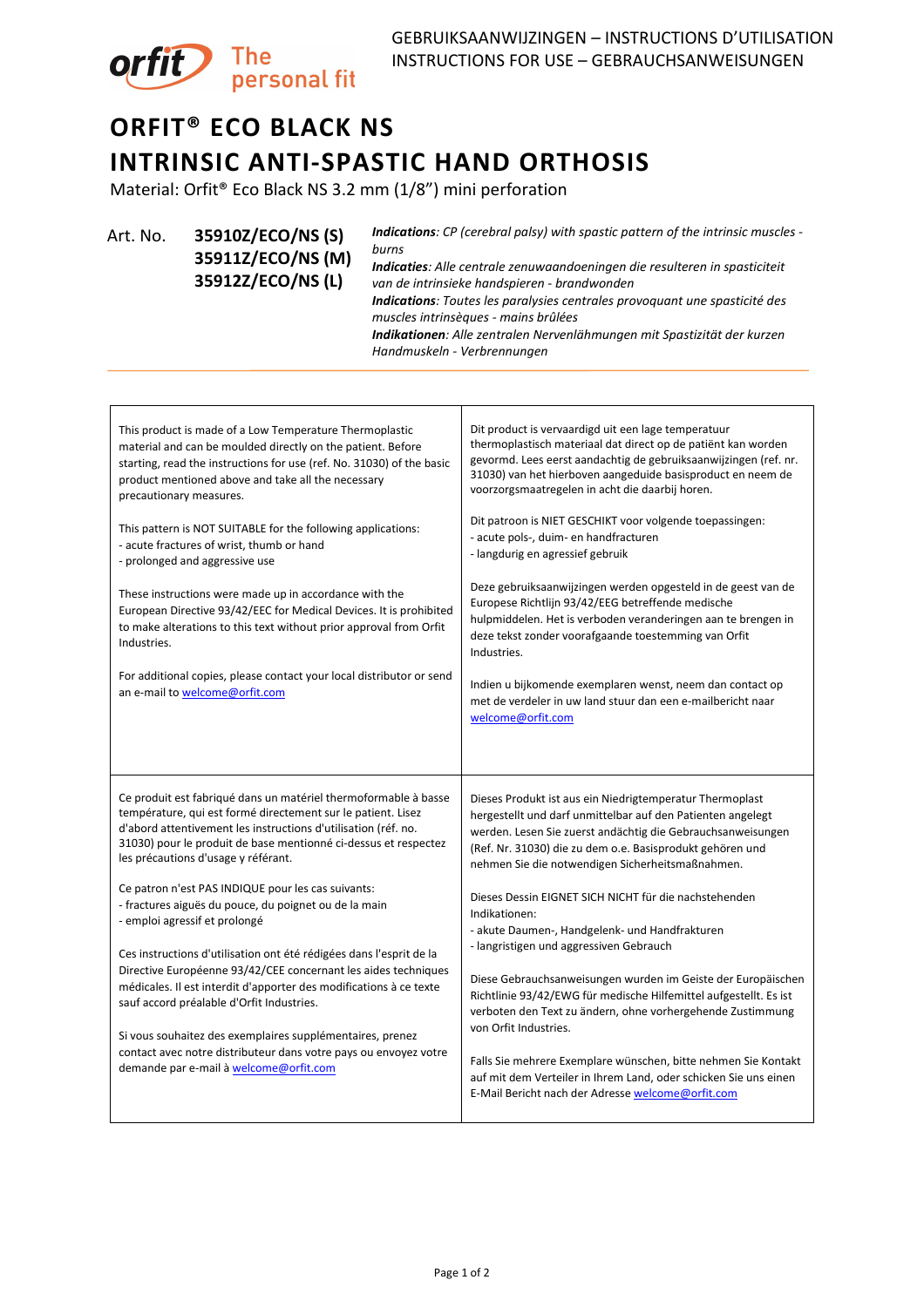

## **ORFIT® ECO BLACK NS INTRINSIC ANTI-SPASTIC HAND ORTHOSIS**

Material: Orfit® Eco Black NS 3.2 mm (1/8") mini perforation

Art. No. **35910Z/ECO/NS (S) 35911Z/ECO/NS (M) 35912Z/ECO/NS (L)**

*Indications: CP (cerebral palsy) with spastic pattern of the intrinsic muscles burns Indicaties: Alle centrale zenuwaandoeningen die resulteren in spasticiteit van de intrinsieke handspieren - brandwonden Indications: Toutes les paralysies centrales provoquant une spasticité des muscles intrinsèques - mains brûlées Indikationen: Alle zentralen Nervenlähmungen mit Spastizität der kurzen Handmuskeln - Verbrennungen*

| This product is made of a Low Temperature Thermoplastic<br>material and can be moulded directly on the patient. Before<br>starting, read the instructions for use (ref. No. 31030) of the basic<br>product mentioned above and take all the necessary<br>precautionary measures.                                                                                                                                                                                                                                                                                                                                                                                                                                                                                                                                                                                                                          | Dit product is vervaardigd uit een lage temperatuur<br>thermoplastisch materiaal dat direct op de patiënt kan worden<br>gevormd. Lees eerst aandachtig de gebruiksaanwijzingen (ref. nr.<br>31030) van het hierboven aangeduide basisproduct en neem de<br>voorzorgsmaatregelen in acht die daarbij horen.                                                                                                                                                                                                                                                                                                                                                                                                                                                                                                                                                                                            |
|-----------------------------------------------------------------------------------------------------------------------------------------------------------------------------------------------------------------------------------------------------------------------------------------------------------------------------------------------------------------------------------------------------------------------------------------------------------------------------------------------------------------------------------------------------------------------------------------------------------------------------------------------------------------------------------------------------------------------------------------------------------------------------------------------------------------------------------------------------------------------------------------------------------|-------------------------------------------------------------------------------------------------------------------------------------------------------------------------------------------------------------------------------------------------------------------------------------------------------------------------------------------------------------------------------------------------------------------------------------------------------------------------------------------------------------------------------------------------------------------------------------------------------------------------------------------------------------------------------------------------------------------------------------------------------------------------------------------------------------------------------------------------------------------------------------------------------|
| This pattern is NOT SUITABLE for the following applications:<br>- acute fractures of wrist, thumb or hand<br>- prolonged and aggressive use<br>These instructions were made up in accordance with the<br>European Directive 93/42/EEC for Medical Devices. It is prohibited<br>to make alterations to this text without prior approval from Orfit<br>Industries.<br>For additional copies, please contact your local distributor or send<br>an e-mail to welcome@orfit.com                                                                                                                                                                                                                                                                                                                                                                                                                                | Dit patroon is NIET GESCHIKT voor volgende toepassingen:<br>- acute pols-, duim- en handfracturen<br>- langdurig en agressief gebruik<br>Deze gebruiksaanwijzingen werden opgesteld in de geest van de<br>Europese Richtlijn 93/42/EEG betreffende medische<br>hulpmiddelen. Het is verboden veranderingen aan te brengen in<br>deze tekst zonder voorafgaande toestemming van Orfit<br>Industries.<br>Indien u bijkomende exemplaren wenst, neem dan contact op<br>met de verdeler in uw land stuur dan een e-mailbericht naar<br>welcome@orfit.com                                                                                                                                                                                                                                                                                                                                                  |
| Ce produit est fabriqué dans un matériel thermoformable à basse<br>température, qui est formé directement sur le patient. Lisez<br>d'abord attentivement les instructions d'utilisation (réf. no.<br>31030) pour le produit de base mentionné ci-dessus et respectez<br>les précautions d'usage y référant.<br>Ce patron n'est PAS INDIQUE pour les cas suivants:<br>- fractures aiguës du pouce, du poignet ou de la main<br>- emploi agressif et prolongé<br>Ces instructions d'utilisation ont été rédigées dans l'esprit de la<br>Directive Européenne 93/42/CEE concernant les aides techniques<br>médicales. Il est interdit d'apporter des modifications à ce texte<br>sauf accord préalable d'Orfit Industries.<br>Si vous souhaitez des exemplaires supplémentaires, prenez<br>contact avec notre distributeur dans votre pays ou envoyez votre<br>demande par e-mail à <b>welcome@orfit.com</b> | Dieses Produkt ist aus ein Niedrigtemperatur Thermoplast<br>hergestellt und darf unmittelbar auf den Patienten angelegt<br>werden. Lesen Sie zuerst andächtig die Gebrauchsanweisungen<br>(Ref. Nr. 31030) die zu dem o.e. Basisprodukt gehören und<br>nehmen Sie die notwendigen Sicherheitsmaßnahmen.<br>Dieses Dessin EIGNET SICH NICHT für die nachstehenden<br>Indikationen:<br>- akute Daumen-, Handgelenk- und Handfrakturen<br>- langristigen und aggressiven Gebrauch<br>Diese Gebrauchsanweisungen wurden im Geiste der Europäischen<br>Richtlinie 93/42/EWG für medische Hilfemittel aufgestellt. Es ist<br>verboten den Text zu ändern, ohne vorhergehende Zustimmung<br>von Orfit Industries.<br>Falls Sie mehrere Exemplare wünschen, bitte nehmen Sie Kontakt<br>auf mit dem Verteiler in Ihrem Land, oder schicken Sie uns einen<br>E-Mail Bericht nach der Adresse welcome@orfit.com |